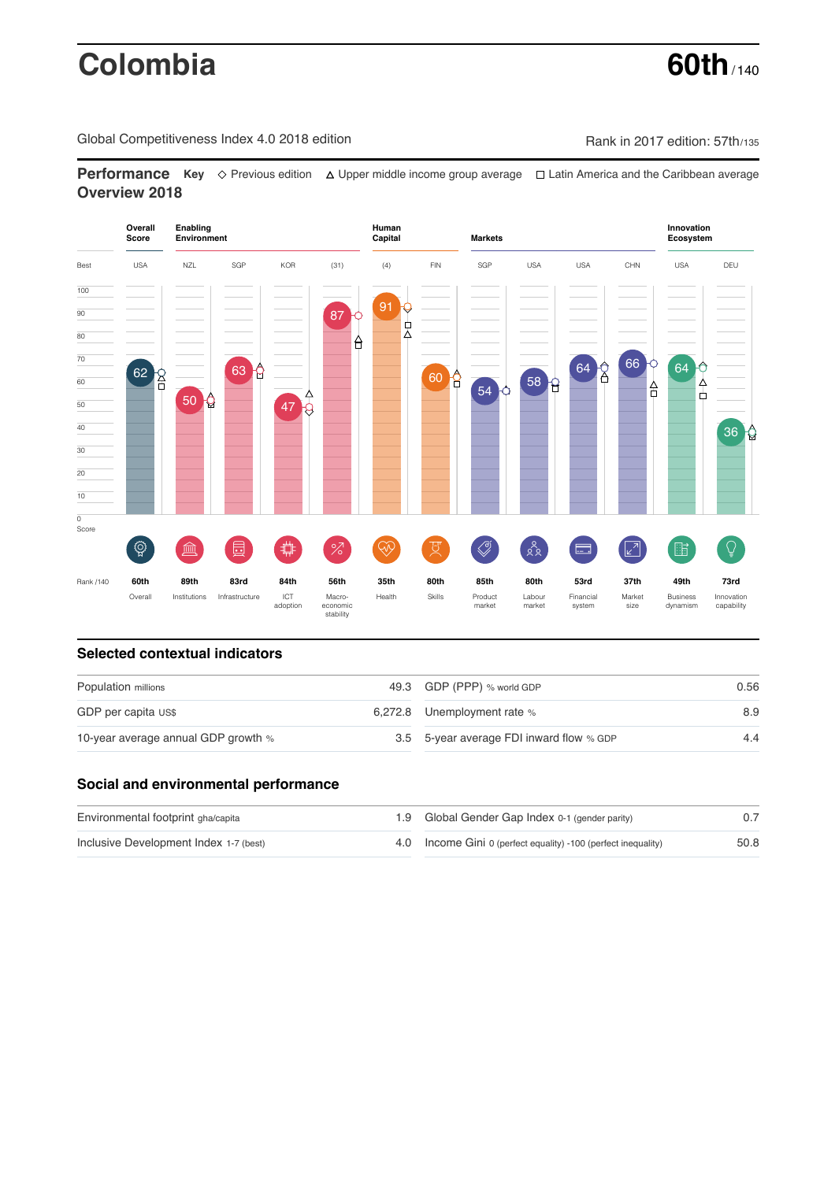# **Colombia 60th**

Global Competitiveness Index 4.0 2018 edition Company Rank in 2017 edition: 57th/135

**Performance** Key ◇ Previous edition △ Upper middle income group average □ Latin America and the Caribbean average **Overview 2018**



# **Selected contextual indicators**

| Population millions                 | 49.3 GDP (PPP) % world GDP               | 0.56 |  |
|-------------------------------------|------------------------------------------|------|--|
| GDP per capita US\$                 | 6,272.8 Unemployment rate %              | 8.9  |  |
| 10-year average annual GDP growth % | 3.5 5-year average FDI inward flow % GDP | 4.4  |  |

# **Social and environmental performance**

| Environmental footprint gha/capita     | 1.9 Global Gender Gap Index 0-1 (gender parity)                |      |
|----------------------------------------|----------------------------------------------------------------|------|
| Inclusive Development Index 1-7 (best) | 4.0 Income Gini 0 (perfect equality) -100 (perfect inequality) | 50.8 |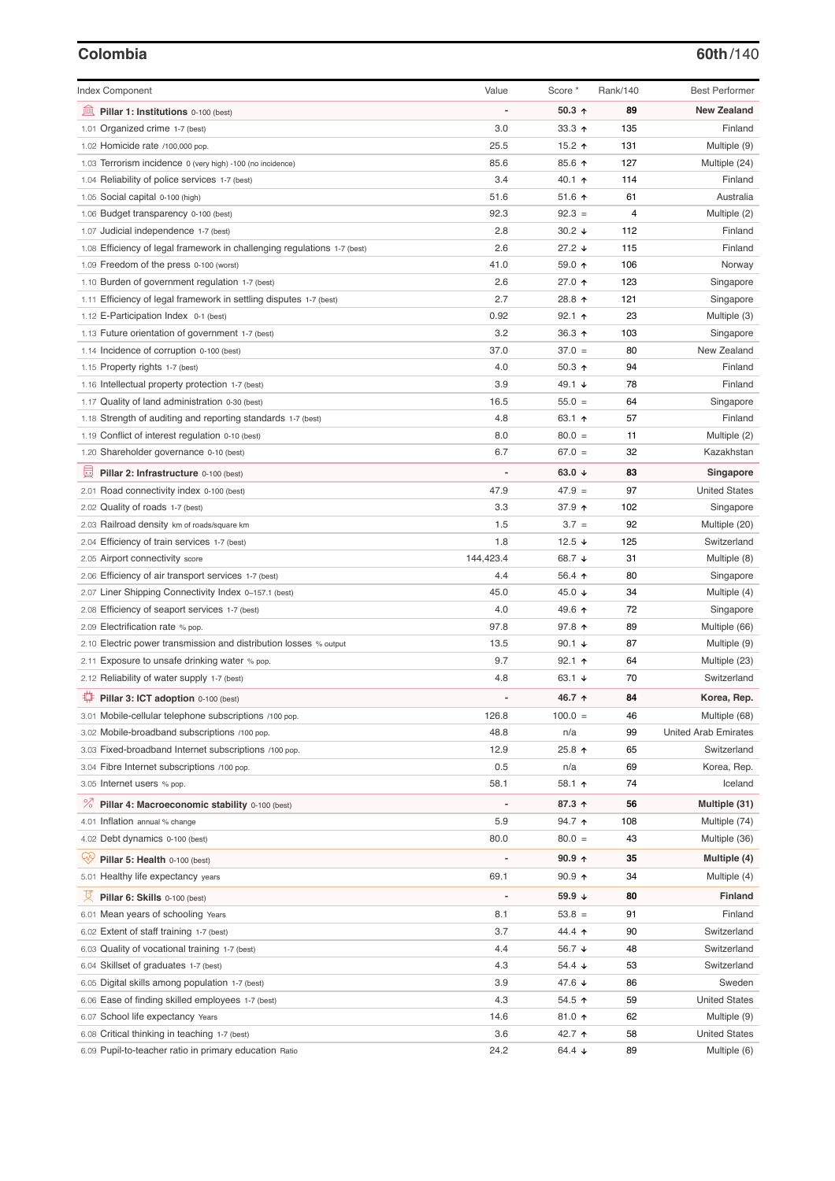### **Colombia 60th**/140

| <b>Index Component</b>                                                             | Value          | Score *           | Rank/140 | <b>Best Performer</b>       |
|------------------------------------------------------------------------------------|----------------|-------------------|----------|-----------------------------|
| 皿<br>Pillar 1: Institutions 0-100 (best)                                           |                | $50.3$ ^          | 89       | <b>New Zealand</b>          |
| 1.01 Organized crime 1-7 (best)                                                    | 3.0            | 33.3 $\uparrow$   | 135      | Finland                     |
| 1.02 Homicide rate /100,000 pop.                                                   | 25.5           | 15.2 $\uparrow$   | 131      | Multiple (9)                |
| 1.03 Terrorism incidence 0 (very high) -100 (no incidence)                         | 85.6           | 85.6 个            | 127      | Multiple (24)               |
| 1.04 Reliability of police services 1-7 (best)                                     | 3.4            | 40.1 ተ            | 114      | Finland                     |
| 1.05 Social capital 0-100 (high)                                                   | 51.6           | 51.6 ↑            | 61       | Australia                   |
| 1.06 Budget transparency 0-100 (best)                                              | 92.3           | $92.3 =$          | 4        | Multiple (2)                |
| 1.07 Judicial independence 1-7 (best)                                              | 2.8            | $30.2 +$          | 112      | Finland                     |
| 1.08 Efficiency of legal framework in challenging regulations 1-7 (best)           | 2.6            | $27.2 +$          | 115      | Finland                     |
| 1.09 Freedom of the press 0-100 (worst)                                            | 41.0           | 59.0 ↑            | 106      | Norway                      |
| 1.10 Burden of government regulation 1-7 (best)                                    | 2.6            | 27.0 ↑            | 123      | Singapore                   |
| 1.11 Efficiency of legal framework in settling disputes 1-7 (best)                 | 2.7            | 28.8 个            | 121      | Singapore                   |
| 1.12 E-Participation Index 0-1 (best)                                              | 0.92           | 92.1 ↑            | 23       | Multiple (3)                |
| 1.13 Future orientation of government 1-7 (best)                                   | 3.2            | 36.3 ↑            | 103      | Singapore                   |
| 1.14 Incidence of corruption 0-100 (best)                                          | 37.0           | $37.0 =$          | 80       | New Zealand                 |
| 1.15 Property rights 1-7 (best)                                                    | 4.0            | $50.3$ ↑          | 94       | Finland                     |
| 1.16 Intellectual property protection 1-7 (best)                                   | 3.9            | 49.1 ↓            | 78       | Finland                     |
| 1.17 Quality of land administration 0-30 (best)                                    | 16.5           | $55.0 =$          | 64       | Singapore                   |
| 1.18 Strength of auditing and reporting standards 1-7 (best)                       | 4.8            | 63.1 ↑            | 57       | Finland                     |
| 1.19 Conflict of interest regulation 0-10 (best)                                   | 8.0            | $80.0 =$          | 11       | Multiple (2)                |
| 1.20 Shareholder governance 0-10 (best)                                            | 6.7            | $67.0 =$          | 32       | Kazakhstan                  |
| 囩<br>Pillar 2: Infrastructure 0-100 (best)                                         | ÷,             | 63.0 $\sqrt{ }$   | 83       | Singapore                   |
| 2.01 Road connectivity index 0-100 (best)                                          | 47.9           | $47.9 =$          | 97       | <b>United States</b>        |
| 2.02 Quality of roads 1-7 (best)                                                   | 3.3            | 37.9 ↑            | 102      | Singapore                   |
| 2.03 Railroad density km of roads/square km                                        | 1.5            | $3.7 =$           | 92       | Multiple (20)               |
| 2.04 Efficiency of train services 1-7 (best)                                       | 1.8            | 12.5 $\sqrt{ }$   | 125      | Switzerland                 |
|                                                                                    | 144,423.4      | 68.7 ↓            | 31       |                             |
| 2.05 Airport connectivity score                                                    | 4.4            |                   | 80       | Multiple (8)                |
| 2.06 Efficiency of air transport services 1-7 (best)                               | 45.0           | 56.4 ↑<br>45.0 ↓  | 34       | Singapore                   |
| 2.07 Liner Shipping Connectivity Index 0-157.1 (best)                              |                |                   |          | Multiple (4)                |
| 2.08 Efficiency of seaport services 1-7 (best)<br>2.09 Electrification rate % pop. | 4.0<br>97.8    | 49.6 ↑            | 72       | Singapore                   |
|                                                                                    |                | 97.8 个            | 89       | Multiple (66)               |
| 2.10 Electric power transmission and distribution losses % output                  | 13.5           | 90.1 $\sqrt{ }$   | 87       | Multiple (9)                |
| 2.11 Exposure to unsafe drinking water % pop.                                      | 9.7            | 92.1 ተ            | 64       | Multiple (23)               |
| 2.12 Reliability of water supply 1-7 (best)                                        | 4.8            | 63.1 $\downarrow$ | 70       | Switzerland                 |
| ₽<br>Pillar 3: ICT adoption 0-100 (best)                                           |                | 46.7 ↑            | 84       | Korea, Rep.                 |
| 3.01 Mobile-cellular telephone subscriptions /100 pop.                             | 126.8          | $100.0 =$         | 46       | Multiple (68)               |
| 3.02 Mobile-broadband subscriptions /100 pop.                                      | 48.8           | n/a               | 99       | <b>United Arab Emirates</b> |
| 3.03 Fixed-broadband Internet subscriptions /100 pop.                              | 12.9           | 25.8 ተ            | 65       | Switzerland                 |
| 3.04 Fibre Internet subscriptions /100 pop.                                        | 0.5            | n/a               | 69       | Korea, Rep.                 |
| 3.05 Internet users % pop.                                                         | 58.1           | 58.1 个            | 74       | Iceland                     |
| <sup>%</sup> Pillar 4: Macroeconomic stability 0-100 (best)                        | $\overline{a}$ | 87.3 ↑            | 56       | Multiple (31)               |
| 4.01 Inflation annual % change                                                     | 5.9            | 94.7 ተ            | 108      | Multiple (74)               |
| 4.02 Debt dynamics 0-100 (best)                                                    | 80.0           | $80.0 =$          | 43       | Multiple (36)               |
| Qiy<br>Pillar 5: Health 0-100 (best)                                               |                | 90.9 个            | 35       | Multiple (4)                |
| 5.01 Healthy life expectancy years                                                 | 69.1           | $90.9$ ↑          | 34       | Multiple (4)                |
| 섯<br>Pillar 6: Skills 0-100 (best)                                                 | ÷,             | 59.9 ↓            | 80       | <b>Finland</b>              |
| 6.01 Mean years of schooling Years                                                 | 8.1            | $53.8 =$          | 91       | Finland                     |
| 6.02 Extent of staff training 1-7 (best)                                           | 3.7            | 44.4 ተ            | 90       | Switzerland                 |
| 6.03 Quality of vocational training 1-7 (best)                                     | 4.4            | 56.7 ↓            | 48       | Switzerland                 |
| 6.04 Skillset of graduates 1-7 (best)                                              | 4.3            | 54.4 ↓            | 53       | Switzerland                 |
| 6.05 Digital skills among population 1-7 (best)                                    | 3.9            | 47.6 ↓            | 86       | Sweden                      |
| 6.06 Ease of finding skilled employees 1-7 (best)                                  | 4.3            | 54.5 ↑            | 59       | <b>United States</b>        |
| 6.07 School life expectancy Years                                                  | 14.6           | 81.0 ↑            | 62       | Multiple (9)                |
| 6.08 Critical thinking in teaching 1-7 (best)                                      | 3.6            | 42.7 ተ            | 58       | <b>United States</b>        |
| 6.09 Pupil-to-teacher ratio in primary education Ratio                             | 24.2           | 64.4 ↓            | 89       | Multiple (6)                |